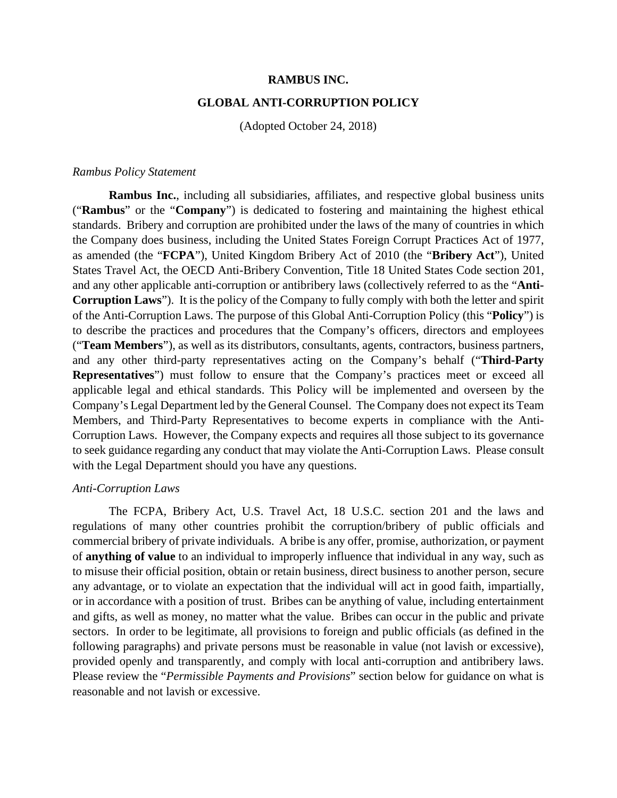### **RAMBUS INC.**

#### **GLOBAL ANTI-CORRUPTION POLICY**

(Adopted October 24, 2018)

#### *Rambus Policy Statement*

**Rambus Inc.**, including all subsidiaries, affiliates, and respective global business units ("**Rambus**" or the "**Company**") is dedicated to fostering and maintaining the highest ethical standards. Bribery and corruption are prohibited under the laws of the many of countries in which the Company does business, including the United States Foreign Corrupt Practices Act of 1977, as amended (the "**FCPA**"), United Kingdom Bribery Act of 2010 (the "**Bribery Act**"), United States Travel Act, the OECD Anti-Bribery Convention, Title 18 United States Code section 201, and any other applicable anti-corruption or antibribery laws (collectively referred to as the "**Anti-Corruption Laws**"). It is the policy of the Company to fully comply with both the letter and spirit of the Anti-Corruption Laws. The purpose of this Global Anti-Corruption Policy (this "**Policy**") is to describe the practices and procedures that the Company's officers, directors and employees ("**Team Members**"), as well as its distributors, consultants, agents, contractors, business partners, and any other third-party representatives acting on the Company's behalf ("**Third-Party Representatives**") must follow to ensure that the Company's practices meet or exceed all applicable legal and ethical standards. This Policy will be implemented and overseen by the Company's Legal Department led by the General Counsel. The Company does not expect its Team Members, and Third-Party Representatives to become experts in compliance with the Anti-Corruption Laws. However, the Company expects and requires all those subject to its governance to seek guidance regarding any conduct that may violate the Anti-Corruption Laws. Please consult with the Legal Department should you have any questions.

### *Anti-Corruption Laws*

The FCPA, Bribery Act, U.S. Travel Act, 18 U.S.C. section 201 and the laws and regulations of many other countries prohibit the corruption/bribery of public officials and commercial bribery of private individuals. A bribe is any offer, promise, authorization, or payment of **anything of value** to an individual to improperly influence that individual in any way, such as to misuse their official position, obtain or retain business, direct business to another person, secure any advantage, or to violate an expectation that the individual will act in good faith, impartially, or in accordance with a position of trust. Bribes can be anything of value, including entertainment and gifts, as well as money, no matter what the value. Bribes can occur in the public and private sectors. In order to be legitimate, all provisions to foreign and public officials (as defined in the following paragraphs) and private persons must be reasonable in value (not lavish or excessive), provided openly and transparently, and comply with local anti-corruption and antibribery laws. Please review the "*Permissible Payments and Provisions*" section below for guidance on what is reasonable and not lavish or excessive.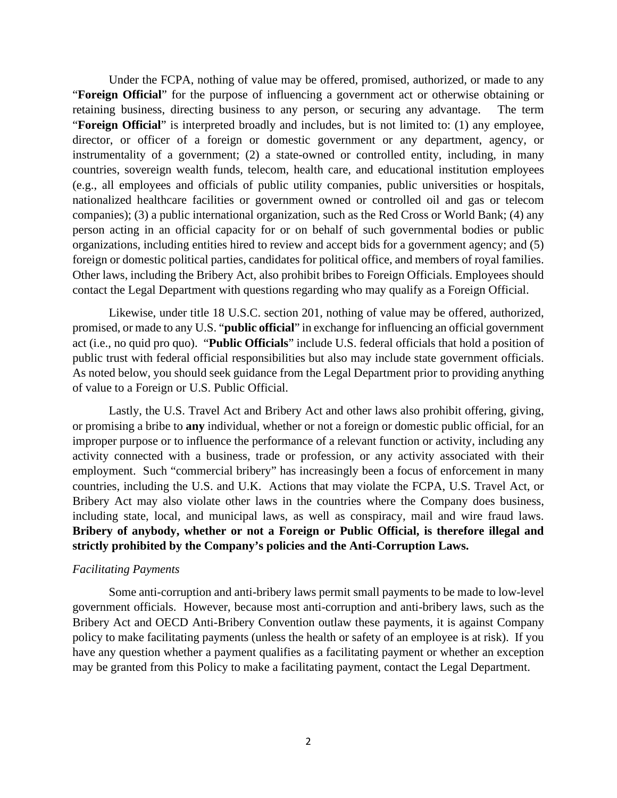Under the FCPA, nothing of value may be offered, promised, authorized, or made to any "**Foreign Official**" for the purpose of influencing a government act or otherwise obtaining or retaining business, directing business to any person, or securing any advantage. The term "**Foreign Official**" is interpreted broadly and includes, but is not limited to: (1) any employee, director, or officer of a foreign or domestic government or any department, agency, or instrumentality of a government; (2) a state-owned or controlled entity, including, in many countries, sovereign wealth funds, telecom, health care, and educational institution employees (e.g., all employees and officials of public utility companies, public universities or hospitals, nationalized healthcare facilities or government owned or controlled oil and gas or telecom companies); (3) a public international organization, such as the Red Cross or World Bank; (4) any person acting in an official capacity for or on behalf of such governmental bodies or public organizations, including entities hired to review and accept bids for a government agency; and (5) foreign or domestic political parties, candidates for political office, and members of royal families. Other laws, including the Bribery Act, also prohibit bribes to Foreign Officials. Employees should contact the Legal Department with questions regarding who may qualify as a Foreign Official.

Likewise, under title 18 U.S.C. section 201, nothing of value may be offered, authorized, promised, or made to any U.S. "**public official**" in exchange for influencing an official government act (i.e., no quid pro quo). "**Public Officials**" include U.S. federal officials that hold a position of public trust with federal official responsibilities but also may include state government officials. As noted below, you should seek guidance from the Legal Department prior to providing anything of value to a Foreign or U.S. Public Official.

Lastly, the U.S. Travel Act and Bribery Act and other laws also prohibit offering, giving, or promising a bribe to **any** individual, whether or not a foreign or domestic public official, for an improper purpose or to influence the performance of a relevant function or activity, including any activity connected with a business, trade or profession, or any activity associated with their employment. Such "commercial bribery" has increasingly been a focus of enforcement in many countries, including the U.S. and U.K. Actions that may violate the FCPA, U.S. Travel Act, or Bribery Act may also violate other laws in the countries where the Company does business, including state, local, and municipal laws, as well as conspiracy, mail and wire fraud laws. **Bribery of anybody, whether or not a Foreign or Public Official, is therefore illegal and strictly prohibited by the Company's policies and the Anti-Corruption Laws.** 

#### *Facilitating Payments*

Some anti-corruption and anti-bribery laws permit small payments to be made to low-level government officials. However, because most anti-corruption and anti-bribery laws, such as the Bribery Act and OECD Anti-Bribery Convention outlaw these payments, it is against Company policy to make facilitating payments (unless the health or safety of an employee is at risk). If you have any question whether a payment qualifies as a facilitating payment or whether an exception may be granted from this Policy to make a facilitating payment, contact the Legal Department.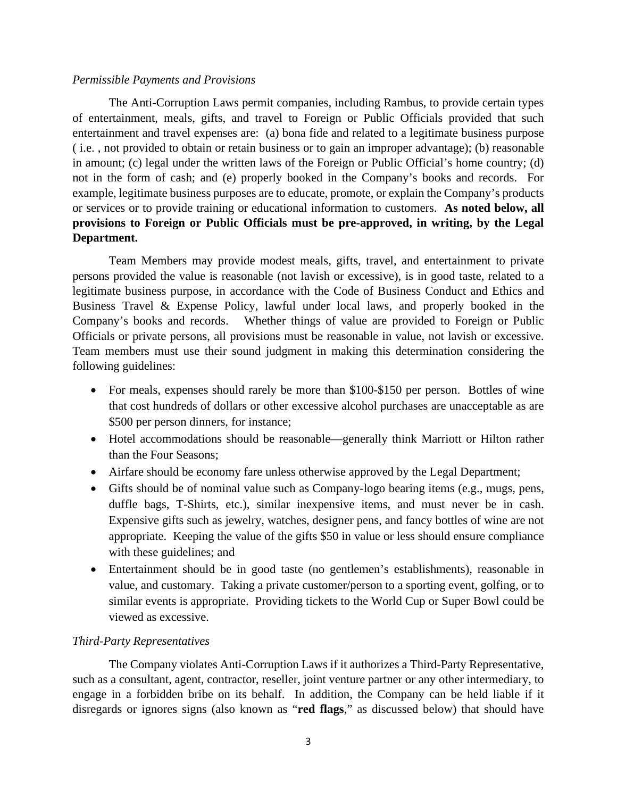### *Permissible Payments and Provisions*

The Anti-Corruption Laws permit companies, including Rambus, to provide certain types of entertainment, meals, gifts, and travel to Foreign or Public Officials provided that such entertainment and travel expenses are: (a) bona fide and related to a legitimate business purpose ( i.e. , not provided to obtain or retain business or to gain an improper advantage); (b) reasonable in amount; (c) legal under the written laws of the Foreign or Public Official's home country; (d) not in the form of cash; and (e) properly booked in the Company's books and records. For example, legitimate business purposes are to educate, promote, or explain the Company's products or services or to provide training or educational information to customers. **As noted below, all provisions to Foreign or Public Officials must be pre-approved, in writing, by the Legal Department.** 

Team Members may provide modest meals, gifts, travel, and entertainment to private persons provided the value is reasonable (not lavish or excessive), is in good taste, related to a legitimate business purpose, in accordance with the Code of Business Conduct and Ethics and Business Travel & Expense Policy, lawful under local laws, and properly booked in the Company's books and records. Whether things of value are provided to Foreign or Public Officials or private persons, all provisions must be reasonable in value, not lavish or excessive. Team members must use their sound judgment in making this determination considering the following guidelines:

- For meals, expenses should rarely be more than \$100-\$150 per person. Bottles of wine that cost hundreds of dollars or other excessive alcohol purchases are unacceptable as are \$500 per person dinners, for instance;
- Hotel accommodations should be reasonable—generally think Marriott or Hilton rather than the Four Seasons;
- Airfare should be economy fare unless otherwise approved by the Legal Department;
- Gifts should be of nominal value such as Company-logo bearing items (e.g., mugs, pens, duffle bags, T-Shirts, etc.), similar inexpensive items, and must never be in cash. Expensive gifts such as jewelry, watches, designer pens, and fancy bottles of wine are not appropriate. Keeping the value of the gifts \$50 in value or less should ensure compliance with these guidelines; and
- Entertainment should be in good taste (no gentlemen's establishments), reasonable in value, and customary. Taking a private customer/person to a sporting event, golfing, or to similar events is appropriate. Providing tickets to the World Cup or Super Bowl could be viewed as excessive.

# *Third-Party Representatives*

The Company violates Anti-Corruption Laws if it authorizes a Third-Party Representative, such as a consultant, agent, contractor, reseller, joint venture partner or any other intermediary, to engage in a forbidden bribe on its behalf. In addition, the Company can be held liable if it disregards or ignores signs (also known as "**red flags**," as discussed below) that should have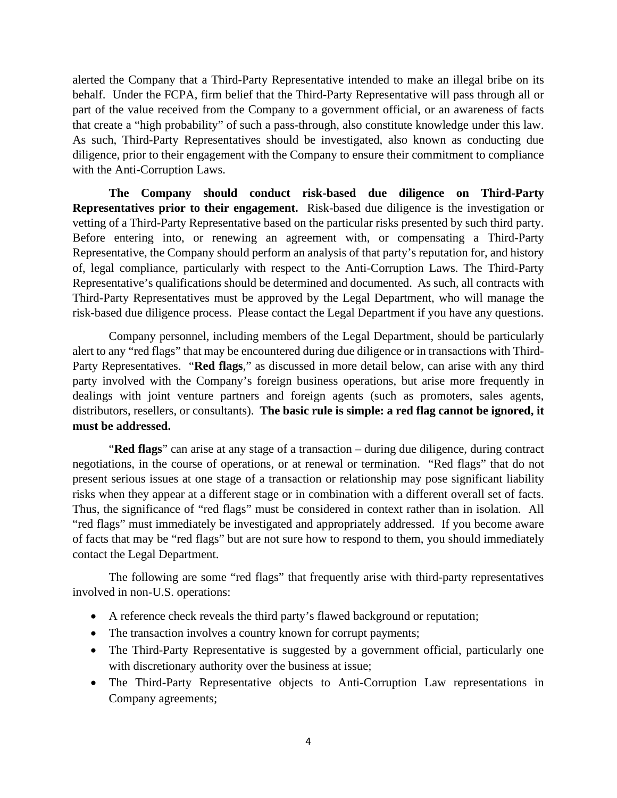alerted the Company that a Third-Party Representative intended to make an illegal bribe on its behalf. Under the FCPA, firm belief that the Third-Party Representative will pass through all or part of the value received from the Company to a government official, or an awareness of facts that create a "high probability" of such a pass-through, also constitute knowledge under this law. As such, Third-Party Representatives should be investigated, also known as conducting due diligence, prior to their engagement with the Company to ensure their commitment to compliance with the Anti-Corruption Laws.

**The Company should conduct risk-based due diligence on Third-Party Representatives prior to their engagement.** Risk-based due diligence is the investigation or vetting of a Third-Party Representative based on the particular risks presented by such third party. Before entering into, or renewing an agreement with, or compensating a Third-Party Representative, the Company should perform an analysis of that party's reputation for, and history of, legal compliance, particularly with respect to the Anti-Corruption Laws. The Third-Party Representative's qualifications should be determined and documented. As such, all contracts with Third-Party Representatives must be approved by the Legal Department, who will manage the risk-based due diligence process. Please contact the Legal Department if you have any questions.

Company personnel, including members of the Legal Department, should be particularly alert to any "red flags" that may be encountered during due diligence or in transactions with Third-Party Representatives. "**Red flags**," as discussed in more detail below, can arise with any third party involved with the Company's foreign business operations, but arise more frequently in dealings with joint venture partners and foreign agents (such as promoters, sales agents, distributors, resellers, or consultants). **The basic rule is simple: a red flag cannot be ignored, it must be addressed.** 

"**Red flags**" can arise at any stage of a transaction – during due diligence, during contract negotiations, in the course of operations, or at renewal or termination. "Red flags" that do not present serious issues at one stage of a transaction or relationship may pose significant liability risks when they appear at a different stage or in combination with a different overall set of facts. Thus, the significance of "red flags" must be considered in context rather than in isolation. All "red flags" must immediately be investigated and appropriately addressed. If you become aware of facts that may be "red flags" but are not sure how to respond to them, you should immediately contact the Legal Department.

The following are some "red flags" that frequently arise with third-party representatives involved in non-U.S. operations:

- A reference check reveals the third party's flawed background or reputation;
- The transaction involves a country known for corrupt payments;
- The Third-Party Representative is suggested by a government official, particularly one with discretionary authority over the business at issue;
- The Third-Party Representative objects to Anti-Corruption Law representations in Company agreements;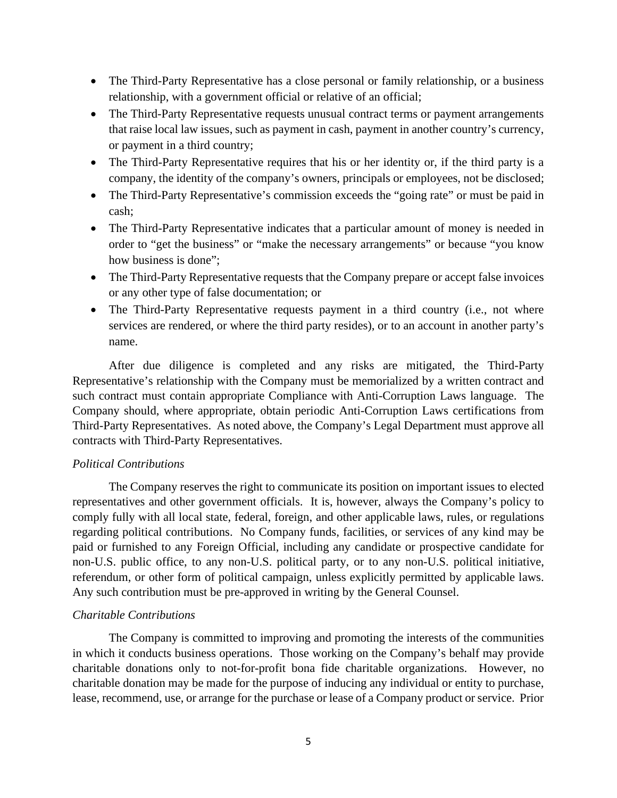- The Third-Party Representative has a close personal or family relationship, or a business relationship, with a government official or relative of an official;
- The Third-Party Representative requests unusual contract terms or payment arrangements that raise local law issues, such as payment in cash, payment in another country's currency, or payment in a third country;
- The Third-Party Representative requires that his or her identity or, if the third party is a company, the identity of the company's owners, principals or employees, not be disclosed;
- The Third-Party Representative's commission exceeds the "going rate" or must be paid in cash;
- The Third-Party Representative indicates that a particular amount of money is needed in order to "get the business" or "make the necessary arrangements" or because "you know how business is done";
- The Third-Party Representative requests that the Company prepare or accept false invoices or any other type of false documentation; or
- The Third-Party Representative requests payment in a third country (i.e., not where services are rendered, or where the third party resides), or to an account in another party's name.

After due diligence is completed and any risks are mitigated, the Third-Party Representative's relationship with the Company must be memorialized by a written contract and such contract must contain appropriate Compliance with Anti-Corruption Laws language. The Company should, where appropriate, obtain periodic Anti-Corruption Laws certifications from Third-Party Representatives. As noted above, the Company's Legal Department must approve all contracts with Third-Party Representatives.

## *Political Contributions*

The Company reserves the right to communicate its position on important issues to elected representatives and other government officials. It is, however, always the Company's policy to comply fully with all local state, federal, foreign, and other applicable laws, rules, or regulations regarding political contributions. No Company funds, facilities, or services of any kind may be paid or furnished to any Foreign Official, including any candidate or prospective candidate for non-U.S. public office, to any non-U.S. political party, or to any non-U.S. political initiative, referendum, or other form of political campaign, unless explicitly permitted by applicable laws. Any such contribution must be pre-approved in writing by the General Counsel.

## *Charitable Contributions*

The Company is committed to improving and promoting the interests of the communities in which it conducts business operations. Those working on the Company's behalf may provide charitable donations only to not-for-profit bona fide charitable organizations. However, no charitable donation may be made for the purpose of inducing any individual or entity to purchase, lease, recommend, use, or arrange for the purchase or lease of a Company product or service. Prior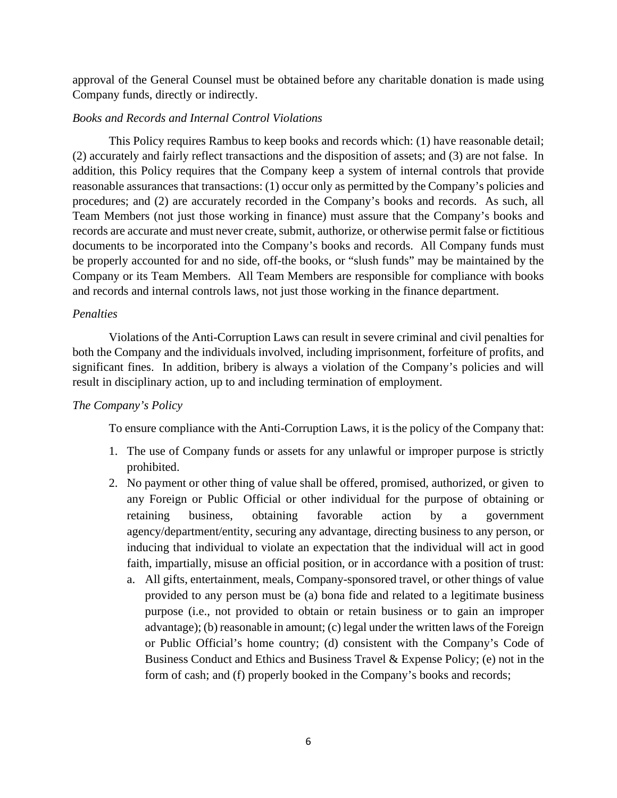approval of the General Counsel must be obtained before any charitable donation is made using Company funds, directly or indirectly.

## *Books and Records and Internal Control Violations*

This Policy requires Rambus to keep books and records which: (1) have reasonable detail; (2) accurately and fairly reflect transactions and the disposition of assets; and (3) are not false. In addition, this Policy requires that the Company keep a system of internal controls that provide reasonable assurances that transactions: (1) occur only as permitted by the Company's policies and procedures; and (2) are accurately recorded in the Company's books and records. As such, all Team Members (not just those working in finance) must assure that the Company's books and records are accurate and must never create, submit, authorize, or otherwise permit false or fictitious documents to be incorporated into the Company's books and records. All Company funds must be properly accounted for and no side, off-the books, or "slush funds" may be maintained by the Company or its Team Members. All Team Members are responsible for compliance with books and records and internal controls laws, not just those working in the finance department.

### *Penalties*

Violations of the Anti-Corruption Laws can result in severe criminal and civil penalties for both the Company and the individuals involved, including imprisonment, forfeiture of profits, and significant fines. In addition, bribery is always a violation of the Company's policies and will result in disciplinary action, up to and including termination of employment.

## *The Company's Policy*

To ensure compliance with the Anti-Corruption Laws, it is the policy of the Company that:

- 1. The use of Company funds or assets for any unlawful or improper purpose is strictly prohibited.
- 2. No payment or other thing of value shall be offered, promised, authorized, or given to any Foreign or Public Official or other individual for the purpose of obtaining or retaining business, obtaining favorable action by a government agency/department/entity, securing any advantage, directing business to any person, or inducing that individual to violate an expectation that the individual will act in good faith, impartially, misuse an official position, or in accordance with a position of trust:
	- a. All gifts, entertainment, meals, Company-sponsored travel, or other things of value provided to any person must be (a) bona fide and related to a legitimate business purpose (i.e., not provided to obtain or retain business or to gain an improper advantage); (b) reasonable in amount; (c) legal under the written laws of the Foreign or Public Official's home country; (d) consistent with the Company's Code of Business Conduct and Ethics and Business Travel & Expense Policy; (e) not in the form of cash; and (f) properly booked in the Company's books and records;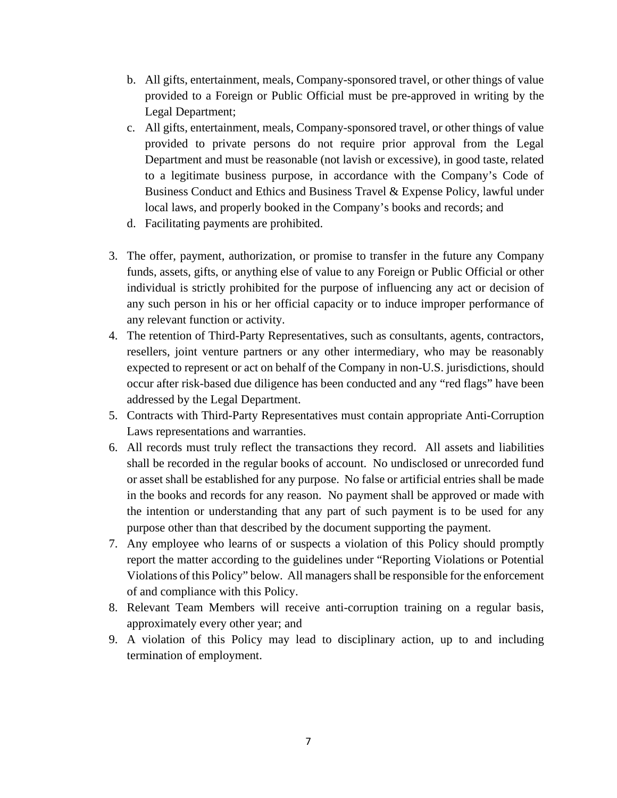- b. All gifts, entertainment, meals, Company-sponsored travel, or other things of value provided to a Foreign or Public Official must be pre-approved in writing by the Legal Department;
- c. All gifts, entertainment, meals, Company-sponsored travel, or other things of value provided to private persons do not require prior approval from the Legal Department and must be reasonable (not lavish or excessive), in good taste, related to a legitimate business purpose, in accordance with the Company's Code of Business Conduct and Ethics and Business Travel & Expense Policy, lawful under local laws, and properly booked in the Company's books and records; and
- d. Facilitating payments are prohibited.
- 3. The offer, payment, authorization, or promise to transfer in the future any Company funds, assets, gifts, or anything else of value to any Foreign or Public Official or other individual is strictly prohibited for the purpose of influencing any act or decision of any such person in his or her official capacity or to induce improper performance of any relevant function or activity.
- 4. The retention of Third-Party Representatives, such as consultants, agents, contractors, resellers, joint venture partners or any other intermediary, who may be reasonably expected to represent or act on behalf of the Company in non-U.S. jurisdictions, should occur after risk-based due diligence has been conducted and any "red flags" have been addressed by the Legal Department.
- 5. Contracts with Third-Party Representatives must contain appropriate Anti-Corruption Laws representations and warranties.
- 6. All records must truly reflect the transactions they record. All assets and liabilities shall be recorded in the regular books of account. No undisclosed or unrecorded fund or asset shall be established for any purpose. No false or artificial entries shall be made in the books and records for any reason. No payment shall be approved or made with the intention or understanding that any part of such payment is to be used for any purpose other than that described by the document supporting the payment.
- 7. Any employee who learns of or suspects a violation of this Policy should promptly report the matter according to the guidelines under "Reporting Violations or Potential Violations of this Policy" below. All managers shall be responsible for the enforcement of and compliance with this Policy.
- 8. Relevant Team Members will receive anti-corruption training on a regular basis, approximately every other year; and
- 9. A violation of this Policy may lead to disciplinary action, up to and including termination of employment.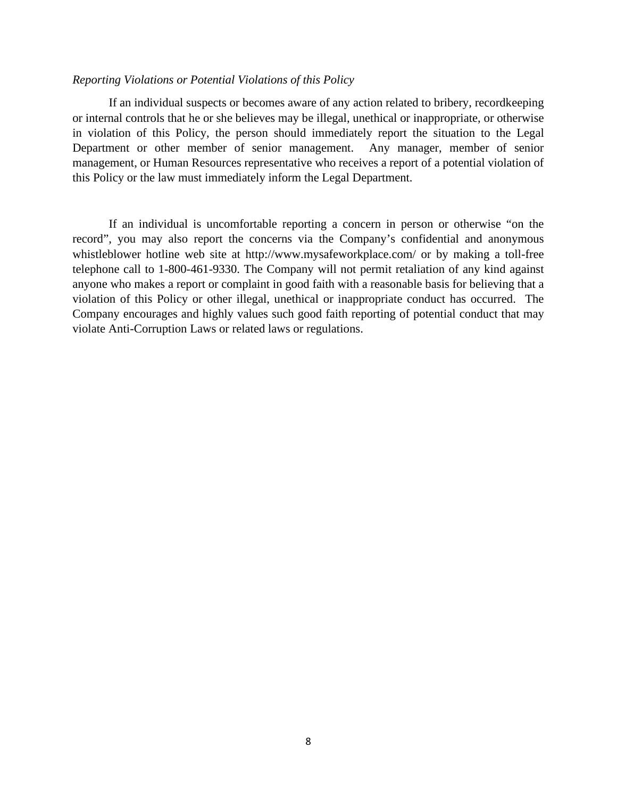#### *Reporting Violations or Potential Violations of this Policy*

If an individual suspects or becomes aware of any action related to bribery, recordkeeping or internal controls that he or she believes may be illegal, unethical or inappropriate, or otherwise in violation of this Policy, the person should immediately report the situation to the Legal Department or other member of senior management. Any manager, member of senior management, or Human Resources representative who receives a report of a potential violation of this Policy or the law must immediately inform the Legal Department.

If an individual is uncomfortable reporting a concern in person or otherwise "on the record", you may also report the concerns via the Company's confidential and anonymous whistleblower hotline web site at http://www.mysafeworkplace.com/ or by making a toll-free telephone call to 1-800-461-9330. The Company will not permit retaliation of any kind against anyone who makes a report or complaint in good faith with a reasonable basis for believing that a violation of this Policy or other illegal, unethical or inappropriate conduct has occurred. The Company encourages and highly values such good faith reporting of potential conduct that may violate Anti-Corruption Laws or related laws or regulations.